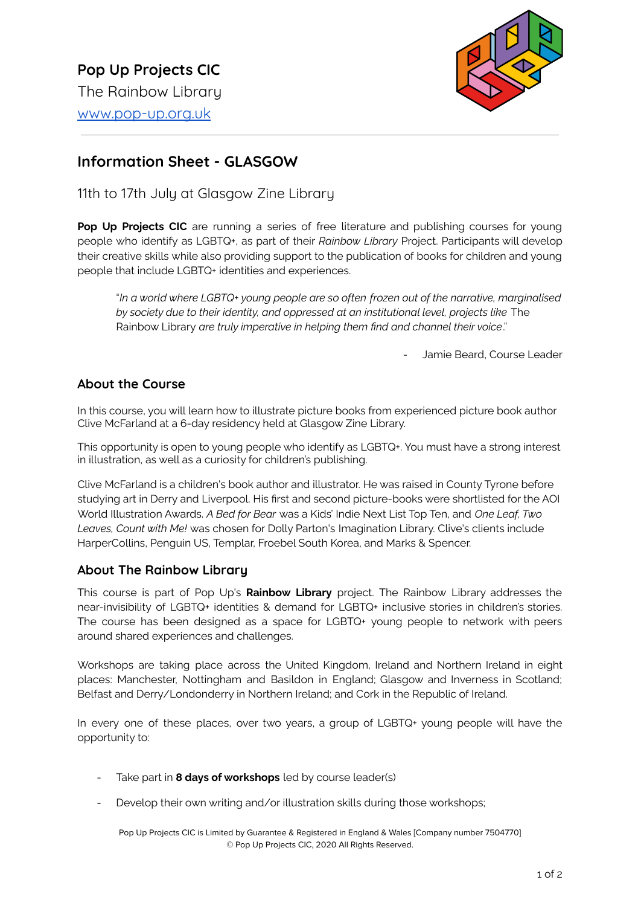

# **Information Sheet - GLASGOW**

11th to 17th July at Glasgow Zine Library

**Pop Up Projects CIC** are running a series of free literature and publishing courses for young people who identify as LGBTQ+, as part of their *Rainbow Library* Project. Participants will develop their creative skills while also providing support to the publication of books for children and young people that include LGBTQ+ identities and experiences.

"*In a world where LGBTQ+ young people are so often frozen out of the narrative, marginalised by society due to their identity, and oppressed at an institutional level, projects like* The Rainbow Library *are truly imperative in helping them find and channel their voice*."

Jamie Beard, Course Leader

## **About the Course**

In this course, you will learn how to illustrate picture books from experienced picture book author Clive McFarland at a 6-day residency held at Glasgow Zine Library.

This opportunity is open to young people who identify as LGBTQ+. You must have a strong interest in illustration, as well as a curiosity for children's publishing.

Clive McFarland is a children's book author and illustrator. He was raised in County Tyrone before studying art in Derry and Liverpool. His first and second picture-books were shortlisted for the AOI World Illustration Awards. *A Bed for Bear* was a Kids' Indie Next List Top Ten, and *One Leaf, Two Leaves, Count with Me!* was chosen for Dolly Parton's Imagination Library. Clive's clients include HarperCollins, Penguin US, Templar, Froebel South Korea, and Marks & Spencer.

## **About The Rainbow Library**

This course is part of Pop Up's **Rainbow Library** project. The Rainbow Library addresses the near-invisibility of LGBTQ+ identities & demand for LGBTQ+ inclusive stories in children's stories. The course has been designed as a space for LGBTQ+ young people to network with peers around shared experiences and challenges.

Workshops are taking place across the United Kingdom, Ireland and Northern Ireland in eight places: Manchester, Nottingham and Basildon in England; Glasgow and Inverness in Scotland; Belfast and Derry/Londonderry in Northern Ireland; and Cork in the Republic of Ireland.

In every one of these places, over two years, a group of LGBTQ+ young people will have the opportunity to:

- Take part in **8 days of workshops** led by course leader(s)
- Develop their own writing and/or illustration skills during those workshops;

Pop Up Projects CIC is Limited by Guarantee & Registered in England & Wales [Company number 7504770] © Pop Up Projects CIC, 2020 All Rights Reserved.